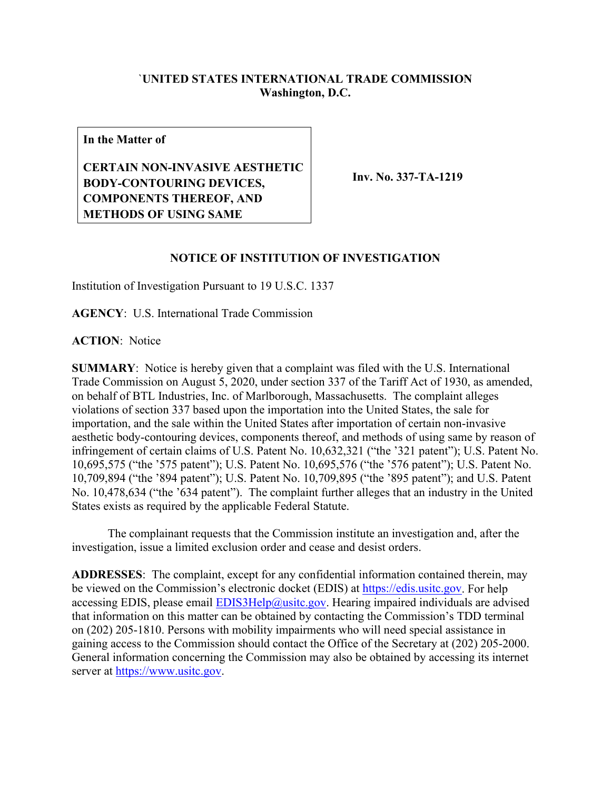## `**UNITED STATES INTERNATIONAL TRADE COMMISSION Washington, D.C.**

**In the Matter of**

**CERTAIN NON-INVASIVE AESTHETIC BODY-CONTOURING DEVICES, COMPONENTS THEREOF, AND METHODS OF USING SAME**

**Inv. No. 337-TA-1219**

## **NOTICE OF INSTITUTION OF INVESTIGATION**

Institution of Investigation Pursuant to 19 U.S.C. 1337

**AGENCY**: U.S. International Trade Commission

**ACTION**: Notice

**SUMMARY**: Notice is hereby given that a complaint was filed with the U.S. International Trade Commission on August 5, 2020, under section 337 of the Tariff Act of 1930, as amended, on behalf of BTL Industries, Inc. of Marlborough, Massachusetts. The complaint alleges violations of section 337 based upon the importation into the United States, the sale for importation, and the sale within the United States after importation of certain non-invasive aesthetic body-contouring devices, components thereof, and methods of using same by reason of infringement of certain claims of U.S. Patent No. 10,632,321 ("the '321 patent"); U.S. Patent No. 10,695,575 ("the '575 patent"); U.S. Patent No. 10,695,576 ("the '576 patent"); U.S. Patent No. 10,709,894 ("the '894 patent"); U.S. Patent No. 10,709,895 ("the '895 patent"); and U.S. Patent No. 10,478,634 ("the '634 patent"). The complaint further alleges that an industry in the United States exists as required by the applicable Federal Statute.

The complainant requests that the Commission institute an investigation and, after the investigation, issue a limited exclusion order and cease and desist orders.

**ADDRESSES**: The complaint, except for any confidential information contained therein, may be viewed on the Commission's electronic docket (EDIS) at [https://edis.usitc.gov.](https://edis.usitc.gov/) For help accessing EDIS, please email  $EDIS3Help@ustc.gov$ . Hearing impaired individuals are advised that information on this matter can be obtained by contacting the Commission's TDD terminal on (202) 205-1810. Persons with mobility impairments who will need special assistance in gaining access to the Commission should contact the Office of the Secretary at (202) 205-2000. General information concerning the Commission may also be obtained by accessing its internet server at [https://www.usitc.gov.](https://www.usitc.gov/)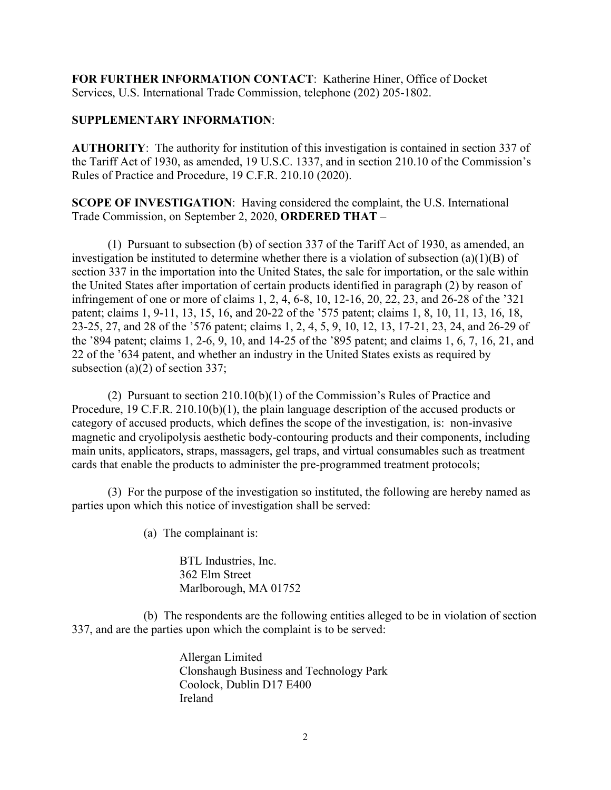**FOR FURTHER INFORMATION CONTACT**: Katherine Hiner, Office of Docket Services, U.S. International Trade Commission, telephone (202) 205-1802.

## **SUPPLEMENTARY INFORMATION**:

**AUTHORITY**: The authority for institution of this investigation is contained in section 337 of the Tariff Act of 1930, as amended, 19 U.S.C. 1337, and in section 210.10 of the Commission's Rules of Practice and Procedure, 19 C.F.R. 210.10 (2020).

**SCOPE OF INVESTIGATION**: Having considered the complaint, the U.S. International Trade Commission, on September 2, 2020, **ORDERED THAT** –

(1) Pursuant to subsection (b) of section 337 of the Tariff Act of 1930, as amended, an investigation be instituted to determine whether there is a violation of subsection (a)(1)(B) of section 337 in the importation into the United States, the sale for importation, or the sale within the United States after importation of certain products identified in paragraph (2) by reason of infringement of one or more of claims 1, 2, 4, 6-8, 10, 12-16, 20, 22, 23, and 26-28 of the '321 patent; claims 1, 9-11, 13, 15, 16, and 20-22 of the '575 patent; claims 1, 8, 10, 11, 13, 16, 18, 23-25, 27, and 28 of the '576 patent; claims 1, 2, 4, 5, 9, 10, 12, 13, 17-21, 23, 24, and 26-29 of the '894 patent; claims 1, 2-6, 9, 10, and 14-25 of the '895 patent; and claims 1, 6, 7, 16, 21, and 22 of the '634 patent, and whether an industry in the United States exists as required by subsection (a)(2) of section 337;

(2) Pursuant to section 210.10(b)(1) of the Commission's Rules of Practice and Procedure, 19 C.F.R. 210.10(b)(1), the plain language description of the accused products or category of accused products, which defines the scope of the investigation, is: non-invasive magnetic and cryolipolysis aesthetic body-contouring products and their components, including main units, applicators, straps, massagers, gel traps, and virtual consumables such as treatment cards that enable the products to administer the pre-programmed treatment protocols;

(3) For the purpose of the investigation so instituted, the following are hereby named as parties upon which this notice of investigation shall be served:

(a) The complainant is:

BTL Industries, Inc. 362 Elm Street Marlborough, MA 01752

(b) The respondents are the following entities alleged to be in violation of section 337, and are the parties upon which the complaint is to be served:

> Allergan Limited Clonshaugh Business and Technology Park Coolock, Dublin D17 E400 Ireland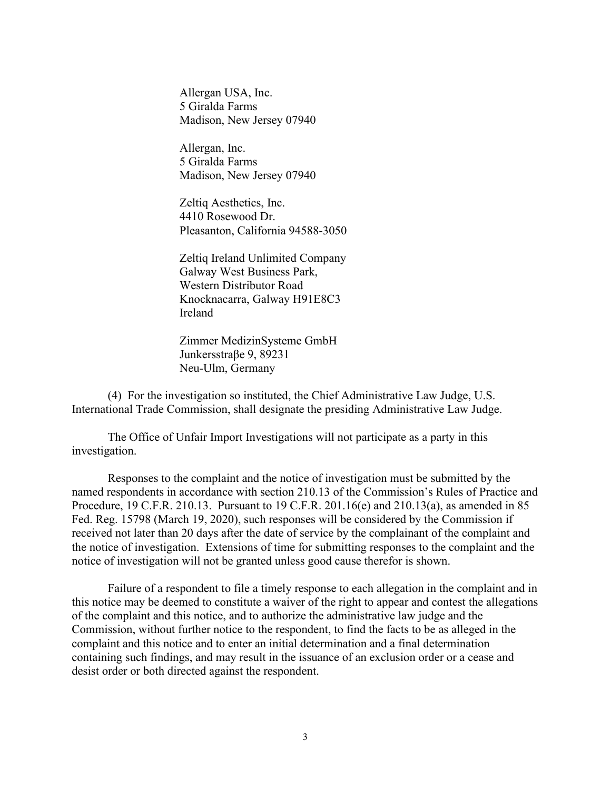Allergan USA, Inc. 5 Giralda Farms Madison, New Jersey 07940

Allergan, Inc. 5 Giralda Farms Madison, New Jersey 07940

Zeltiq Aesthetics, Inc. 4410 Rosewood Dr. Pleasanton, California 94588-3050

Zeltiq Ireland Unlimited Company Galway West Business Park, Western Distributor Road Knocknacarra, Galway H91E8C3 Ireland

Zimmer MedizinSysteme GmbH Junkersstraβe 9, 89231 Neu-Ulm, Germany

(4) For the investigation so instituted, the Chief Administrative Law Judge, U.S. International Trade Commission, shall designate the presiding Administrative Law Judge.

The Office of Unfair Import Investigations will not participate as a party in this investigation.

Responses to the complaint and the notice of investigation must be submitted by the named respondents in accordance with section 210.13 of the Commission's Rules of Practice and Procedure, 19 C.F.R. 210.13. Pursuant to 19 C.F.R. 201.16(e) and 210.13(a), as amended in 85 Fed. Reg. 15798 (March 19, 2020), such responses will be considered by the Commission if received not later than 20 days after the date of service by the complainant of the complaint and the notice of investigation. Extensions of time for submitting responses to the complaint and the notice of investigation will not be granted unless good cause therefor is shown.

Failure of a respondent to file a timely response to each allegation in the complaint and in this notice may be deemed to constitute a waiver of the right to appear and contest the allegations of the complaint and this notice, and to authorize the administrative law judge and the Commission, without further notice to the respondent, to find the facts to be as alleged in the complaint and this notice and to enter an initial determination and a final determination containing such findings, and may result in the issuance of an exclusion order or a cease and desist order or both directed against the respondent.